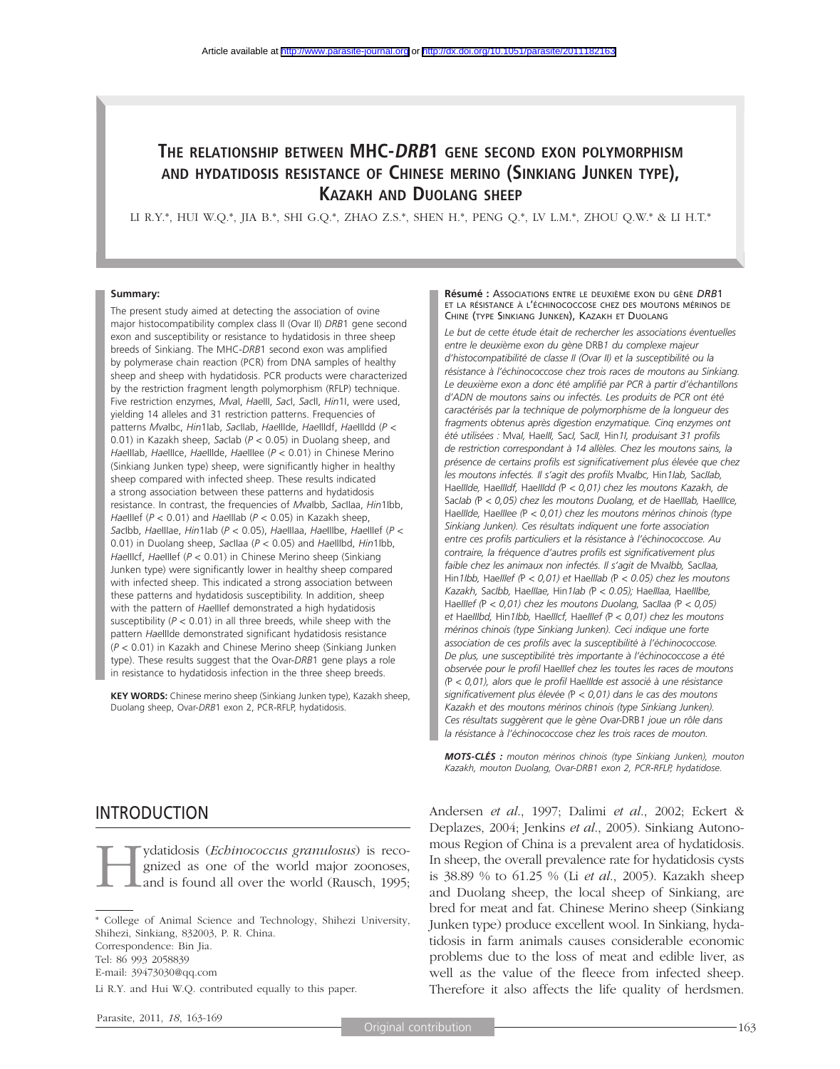# **THE RELATIONSHIP BETWEEN MHC-DRB1 GENE SECOND EXON POLYMORPHISM AND HYDATIDOSIS RESISTANCE OF CHINESE MERINO (SINKIANG JUNKEN TYPE), KAZAKH AND DUOLANG SHEEP**

LI R.Y.\*, HUI W.Q.\*, JIA B.\*, SHI G.Q.\*, ZHAO Z.S.\*, SHEN H.\*, PENG Q.\*, LV L.M.\*, ZHOU Q.W.\* & LI H.T.\*

#### **Summary:**

The present study aimed at detecting the association of ovine major histocompatibility complex class II (Ovar II) *DRB*1 gene second exon and susceptibility or resistance to hydatidosis in three sheep breeds of Sinkiang. The MHC-*DRB*1 second exon was amplified by polymerase chain reaction (PCR) from DNA samples of healthy sheep and sheep with hydatidosis. PCR products were characterized by the restriction fragment length polymorphism (RFLP) technique. Five restriction enzymes, *Mva*I, *Hae*III, *Sac*I, *Sac*II, *Hin*1I, were used, yielding 14 alleles and 31 restriction patterns. Frequencies of patterns *Mva*Ibc, *Hin*1Iab, *Sac*IIab, *Hae*IIIde, *Hae*IIIdf, *Hae*IIIdd (*P* < 0.01) in Kazakh sheep, *Sac*Iab (*P* < 0.05) in Duolang sheep, and *Hae*IIIab, *Hae*IIIce, *Hae*IIIde, *Hae*IIIee (*P* < 0.01) in Chinese Merino (Sinkiang Junken type) sheep, were significantly higher in healthy sheep compared with infected sheep. These results indicated a strong association between these patterns and hydatidosis resistance. In contrast, the frequencies of *Mva*Ibb, *Sac*IIaa, *Hin*1Ibb, *Hae*IIIef (*P* < 0.01) and *Hae*IIIab (*P* < 0.05) in Kazakh sheep, *Sac*Ibb, *Hae*IIIae, *Hin*1Iab (*P* < 0.05), *Hae*IIIaa, *Hae*IIIbe, *Hae*IIIef (*P* < 0.01) in Duolang sheep, *Sac*IIaa (*P* < 0.05) and *Hae*IIIbd, *Hin*1Ibb, *Hae*IIIcf, *Hae*IIIef (*P* < 0.01) in Chinese Merino sheep (Sinkiang Junken type) were significantly lower in healthy sheep compared with infected sheep. This indicated a strong association between these patterns and hydatidosis susceptibility. In addition, sheep with the pattern of *Hae*IIIef demonstrated a high hydatidosis susceptibility (*P* < 0.01) in all three breeds, while sheep with the pattern *Hae*IIIde demonstrated significant hydatidosis resistance (*P* < 0.01) in Kazakh and Chinese Merino sheep (Sinkiang Junken type). These results suggest that the Ovar-*DRB*1 gene plays a role in resistance to hydatidosis infection in the three sheep breeds.

**KEY WORDS:** Chinese merino sheep (Sinkiang Junken type), Kazakh sheep, Duolang sheep, Ovar-*DRB*1 exon 2, PCR-RFLP, hydatidosis.

# INTRODUCTION

**Hydatidosis** (*Echinococcus granulosus*) is reco-<br>gnized as one of the world major zoonoses,<br>and is found all over the world (Rausch, 1995; gnized as one of the world major zoonoses, and is found all over the world (Rausch, 1995;

\* College of Animal Science and Technology, Shihezi University, Shihezi, Sinkiang, 832003, P. R. China. Correspondence: Bin Jia. Tel: 86 993 2058839 E-mail: 39473030@qq.com Li R.Y. and Hui W.Q. contributed equally to this paper.

#### **Résumé :** ASSOCIATIONS ENTRE LE DEUXIÈME EXON DU GÈNE *DRB*1 ET LA RÉSISTANCE À L'ÉCHINOCOCCOSE CHEZ DES MOUTONS MÉRINOS DE CHINE (TYPE SINKIANG JUNKEN), KAZAKH ET DUOLANG

*Le but de cette étude était de rechercher les associations éventuelles entre le deuxième exon du gène* DRB*1 du complexe majeur d'histocompatibilité de classe II (Ovar II) et la susceptibilité ou la*  résistance à l'échinococcose chez trois races de moutons au Sinkiang. *Le deuxième exon a donc été amplifié par PCR à partir d'échantillons d'ADN de moutons sains ou infectés. Les produits de PCR ont été caractérisés par la technique de polymorphisme de la longueur des fragments obtenus après digestion enzymatique. Cinq enzymes ont été utilisées :* Mva*I,* Hae*III,* Sac*I,* Sac*II,* Hin*1I, produisant 31 profils de restriction correspondant à 14 allèles. Chez les moutons sains, la présence de certains profils est significativement plus élevée que chez les moutons infectés. Il s'agit des profils* Mva*Ibc,* Hin*1Iab,* Sac*IIab,*  Hae*IIIde,* Hae*IIIdf,* Hae*IIIdd (*P *< 0,01) chez les moutons Kazakh, de*  Sac*Iab (*P *< 0,05) chez les moutons Duolang, et de* Hae*IIIab,* Hae*IIIce,*  Hae*IIIde,* Hae*IIIee (*P *< 0,01) chez les moutons mérinos chinois (type Sinkiang Junken). Ces résultats indiquent une forte association entre ces profils particuliers et la résistance à l'échinococcose. Au contraire, la fréquence d'autres profils est significativement plus faible chez les animaux non infectés. Il s'agit de* Mva*Ibb,* Sac*IIaa,*  Hin*1Ibb,* Hae*IIIef (*P *< 0,01) et* Hae*IIIab (*P *< 0.05) chez les moutons Kazakh,* Sac*Ibb,* Hae*IIIae,* Hin*1Iab (*P *< 0.05);* Hae*IIIaa,* Hae*IIIbe,*  Hae*IIIef (*P *< 0,01) chez les moutons Duolang,* Sac*IIaa (*P *< 0,05) et* Hae*IIIbd,* Hin*1Ibb,* Hae*IIIcf,* Hae*IIIef (*P *< 0,01) chez les moutons mérinos chinois (type Sinkiang Junken). Ceci indique une forte association de ces profils avec la susceptibilité à l'échinococcose. De plus, une susceptibilité très importante à l'échinococcose a été observée pour le profil* Hae*IIIef chez les toutes les races de moutons (*P *< 0,01), alors que le profil* Hae*IIIde est associé à une résistance significativement plus élevée (*P *< 0,01) dans le cas des moutons Kazakh et des moutons mérinos chinois (type Sinkiang Junken). Ces résultats suggèrent que le gène Ovar-*DRB*1 joue un rôle dans la résistance à l'échinococcose chez les trois races de mouton.*

*MOTS-CLÉS : mouton mérinos chinois (type Sinkiang Junken), mouton Kazakh, mouton Duolang, Ovar-DRB1 exon 2, PCR-RFLP, hydatidose.*

Andersen *et al*., 1997; Dalimi *et al*., 2002; Eckert & Deplazes, 2004; Jenkins *et al*., 2005). Sinkiang Autonomous Region of China is a prevalent area of hydatidosis. In sheep, the overall prevalence rate for hydatidosis cysts is 38.89 % to 61.25 % (Li *et al*., 2005). Kazakh sheep and Duolang sheep, the local sheep of Sinkiang, are bred for meat and fat. Chinese Merino sheep (Sinkiang Junken type) produce excellent wool. In Sinkiang, hydatidosis in farm animals causes considerable economic problems due to the loss of meat and edible liver, as well as the value of the fleece from infected sheep. Therefore it also affects the life quality of herdsmen.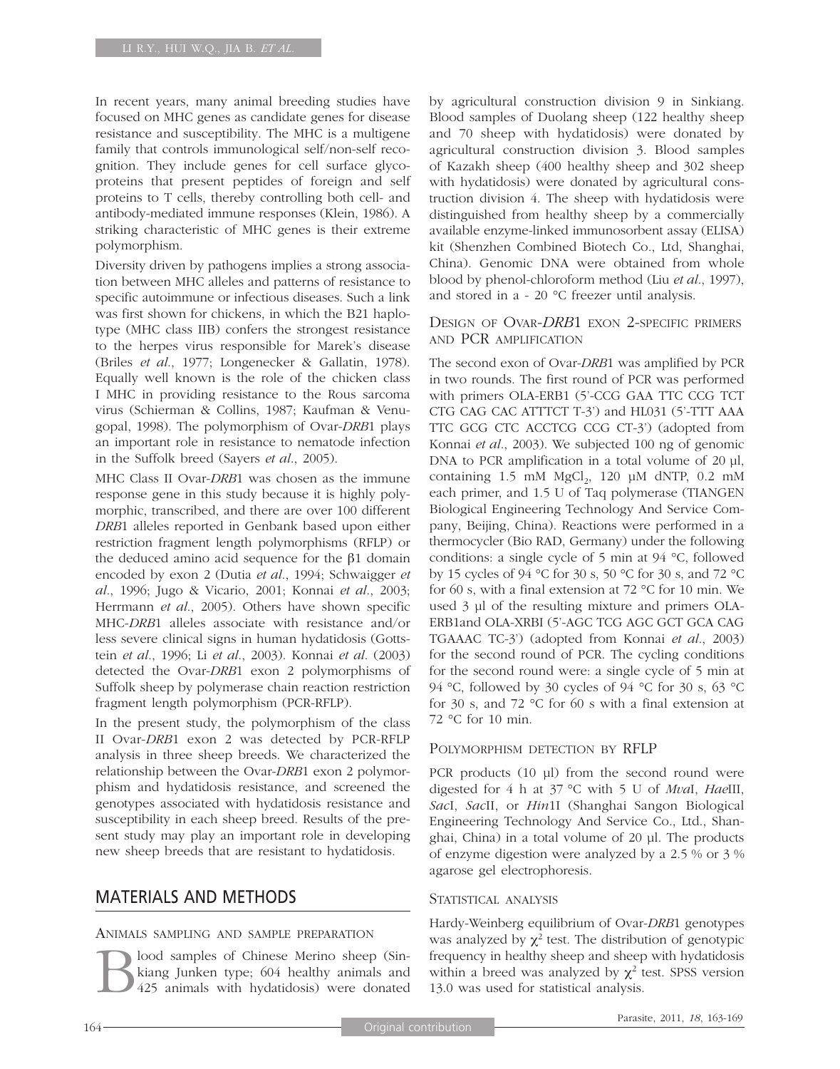In recent years, many animal breeding studies have focused on MHC genes as candidate genes for disease resistance and susceptibility. The MHC is a multigene family that controls immunological self/non-self recognition. They include genes for cell surface glycoproteins that present peptides of foreign and self proteins to T cells, thereby controlling both cell- and antibody-mediated immune responses (Klein, 1986). A striking characteristic of MHC genes is their extreme polymorphism.

Diversity driven by pathogens implies a strong association between MHC alleles and patterns of resistance to specific autoimmune or infectious diseases. Such a link was first shown for chickens, in which the B21 haplotype (MHC class IIB) confers the strongest resistance to the herpes virus responsible for Marek's disease (Briles *et al*., 1977; Longenecker & Gallatin, 1978). Equally well known is the role of the chicken class I MHC in providing resistance to the Rous sarcoma virus (Schierman & Collins, 1987; Kaufman & Venugopal, 1998). The polymorphism of Ovar-*DRB*1 plays an important role in resistance to nematode infection in the Suffolk breed (Sayers *et al*., 2005).

MHC Class II Ovar-*DRB*1 was chosen as the immune response gene in this study because it is highly polymorphic, transcribed, and there are over 100 different *DRB*1 alleles reported in Genbank based upon either restriction fragment length polymorphisms (RFLP) or the deduced amino acid sequence for the β1 domain encoded by exon 2 (Dutia *et al*., 1994; Schwaigger *et al*., 1996; Jugo & Vicario, 2001; Konnai *et al*., 2003; Herrmann *et al*., 2005). Others have shown specific MHC-*DRB*1 alleles associate with resistance and/or less severe clinical signs in human hydatidosis (Gottstein *et al*., 1996; Li *et al*., 2003). Konnai *et al*. (2003) detected the Ovar-*DRB*1 exon 2 polymorphisms of Suffolk sheep by polymerase chain reaction restriction fragment length polymorphism (PCR-RFLP).

In the present study, the polymorphism of the class II Ovar-*DRB*1 exon 2 was detected by PCR-RFLP analysis in three sheep breeds. We characterized the relationship between the Ovar-*DRB*1 exon 2 polymorphism and hydatidosis resistance, and screened the genotypes associated with hydatidosis resistance and susceptibility in each sheep breed. Results of the present study may play an important role in developing new sheep breeds that are resistant to hydatidosis.

# MATERIALS AND METHODS

### ANIMALS SAMPLING AND SAMPLE PREPARATION

Blood samples of Chinese Merino sheep (Sin-<br>kiang Junken type; 604 healthy animals and<br>425 animals with hydatidosis) were donated kiang Junken type; 604 healthy animals and 425 animals with hydatidosis) were donated

by agricultural construction division 9 in Sinkiang. Blood samples of Duolang sheep (122 healthy sheep and 70 sheep with hydatidosis) were donated by agricultural construction division 3. Blood samples of Kazakh sheep (400 healthy sheep and 302 sheep with hydatidosis) were donated by agricultural construction division 4. The sheep with hydatidosis were distinguished from healthy sheep by a commercially available enzyme-linked immunosorbent assay (ELISA) kit (Shenzhen Combined Biotech Co., Ltd, Shanghai, China). Genomic DNA were obtained from whole blood by phenol-chloroform method (Liu *et al*., 1997), and stored in a - 20 °C freezer until analysis.

### DESIGN OF OVAR-*DRB*1 EXON 2-SPECIFIC PRIMERS AND PCR AMPLIFICATION

The second exon of Ovar-*DRB*1 was amplified by PCR in two rounds. The first round of PCR was performed with primers OLA-ERB1 (5'-CCG GAA TTC CCG TCT CTG CAG CAC ATTTCT T-3') and HL031 (5'-TTT AAA TTC GCG CTC ACCTCG CCG CT-3') (adopted from Konnai *et al*., 2003). We subjected 100 ng of genomic DNA to PCR amplification in a total volume of 20 µl, containing  $1.5 \text{ mM } MgCl<sub>2</sub>$ ,  $120 \text{ µM } dNTP$ ,  $0.2 \text{ mM}$ each primer, and 1.5 U of Taq polymerase (TIANGEN Biological Engineering Technology And Service Company, Beijing, China). Reactions were performed in a thermocycler (Bio RAD, Germany) under the following conditions: a single cycle of 5 min at 94 °C, followed by 15 cycles of 94 °C for 30 s, 50 °C for 30 s, and 72 °C for 60 s, with a final extension at 72 °C for 10 min. We used 3 µl of the resulting mixture and primers OLA-ERB1and OLA-XRBI (5'-AGC TCG AGC GCT GCA CAG TGAAAC TC-3') (adopted from Konnai *et al*., 2003) for the second round of PCR. The cycling conditions for the second round were: a single cycle of 5 min at 94 °C, followed by 30 cycles of 94 °C for 30 s, 63 °C for 30 s, and 72 °C for 60 s with a final extension at 72 °C for 10 min.

### POLYMORPHISM DETECTION BY RFLP

PCR products (10 µl) from the second round were digested for 4 h at 37 °C with 5 U of *Mva*I, *Hae*III, *Sac*I, *Sac*II, or *Hin*1I (Shanghai Sangon Biological Engineering Technology And Service Co., Ltd., Shanghai, China) in a total volume of 20 µl. The products of enzyme digestion were analyzed by a 2.5 % or 3 % agarose gel electrophoresis.

### STATISTICAL ANALYSIS

Hardy-Weinberg equilibrium of Ovar-*DRB*1 genotypes was analyzed by  $\chi^2$  test. The distribution of genotypic frequency in healthy sheep and sheep with hydatidosis within a breed was analyzed by  $\chi^2$  test. SPSS version 13.0 was used for statistical analysis.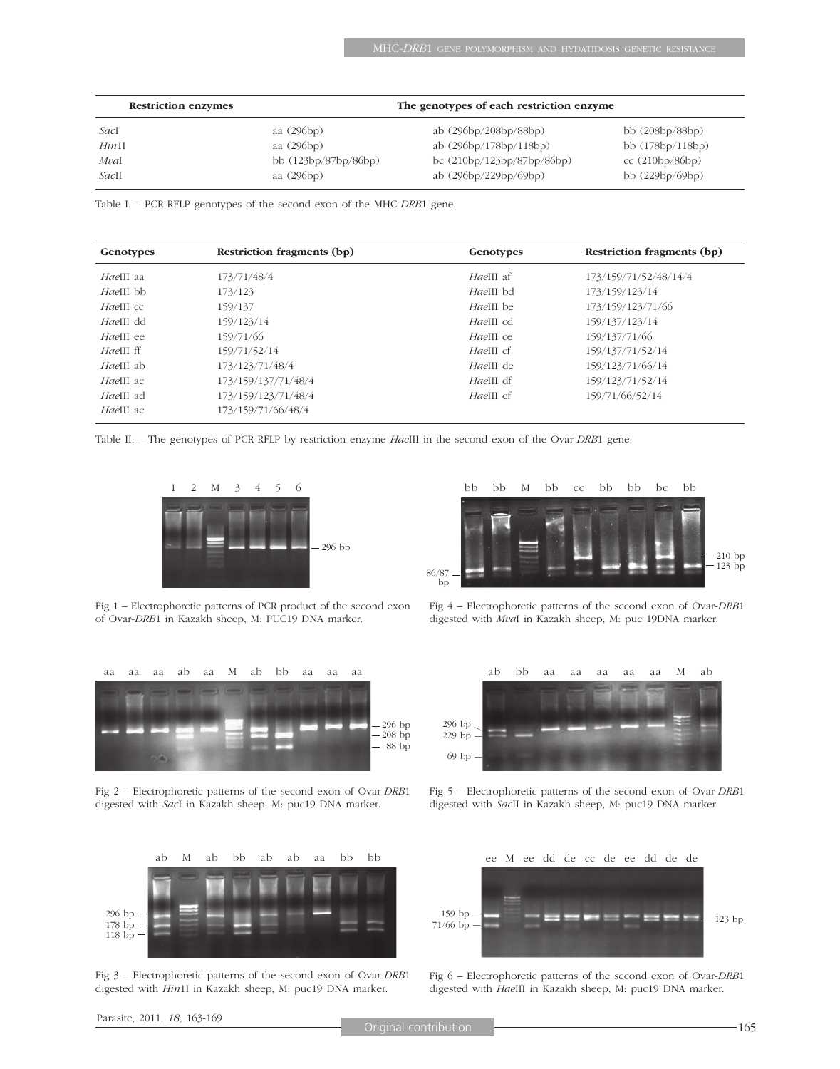| <b>Restriction enzymes</b> |                      |                              |                    |
|----------------------------|----------------------|------------------------------|--------------------|
| SacI                       | aa (296bp)           | ab (296bp/208bp/88bp)        | bb $(208bp/88bp)$  |
| Hin1I                      | aa (296bp)           | ab (296bp/178bp/118bp)       | bb $(178bp/118bp)$ |
| MvaI                       | bb (123bp/87bp/86bp) | bc $(210bp/123bp/87bp/86bp)$ | cc(210bp/86bp)     |
| SacII                      | aa (296bp)           | ab (296bp/229bp/69bp)        | bb $(229bp/69bp)$  |

Table I. – PCR-RFLP genotypes of the second exon of the MHC-*DRB*1 gene.

| Genotypes | Restriction fragments (bp) | Genotypes | Restriction fragments (bp) |
|-----------|----------------------------|-----------|----------------------------|
| HaeIII aa | 173/71/48/4                | HaeIII af | 173/159/71/52/48/14/4      |
| HaeIII bb | 173/123                    | HaeIII bd | 173/159/123/14             |
| HaeIII cc | 159/137                    | HaeIII be | 173/159/123/71/66          |
| HaeIII dd | 159/123/14                 | HaeIII cd | 159/137/123/14             |
| HaeIII ee | 159/71/66                  | HaeIII ce | 159/137/71/66              |
| HaeIII ff | 159/71/52/14               | HaeIII cf | 159/137/71/52/14           |
| HaeIII ab | 173/123/71/48/4            | HaeIII de | 159/123/71/66/14           |
| HaeIII ac | 173/159/137/71/48/4        | HaeIII df | 159/123/71/52/14           |
| HaeIII ad | 173/159/123/71/48/4        | HaeIII ef | 159/71/66/52/14            |
| HaeIII ae | 173/159/71/66/48/4         |           |                            |

Table II. – The genotypes of PCR-RFLP by restriction enzyme *Hae*III in the second exon of the Ovar-*DRB*1 gene.



Fig 1 – Electrophoretic patterns of PCR product of the second exon of Ovar-*DRB*1 in Kazakh sheep, M: PUC19 DNA marker.



Fig 2 – Electrophoretic patterns of the second exon of Ovar-*DRB*1 digested with *Sac*I in Kazakh sheep, M: puc19 DNA marker.



Fig 3 – Electrophoretic patterns of the second exon of Ovar-*DRB*1 digested with *Hin*1I in Kazakh sheep, M: puc19 DNA marker.



Fig 4 – Electrophoretic patterns of the second exon of Ovar-*DRB*1 digested with *Mva*I in Kazakh sheep, M: puc 19DNA marker.



Fig 5 – Electrophoretic patterns of the second exon of Ovar-*DRB*1 digested with *Sac*II in Kazakh sheep, M: puc19 DNA marker.



Fig 6 – Electrophoretic patterns of the second exon of Ovar-*DRB*1 digested with *Hae*III in Kazakh sheep, M: puc19 DNA marker.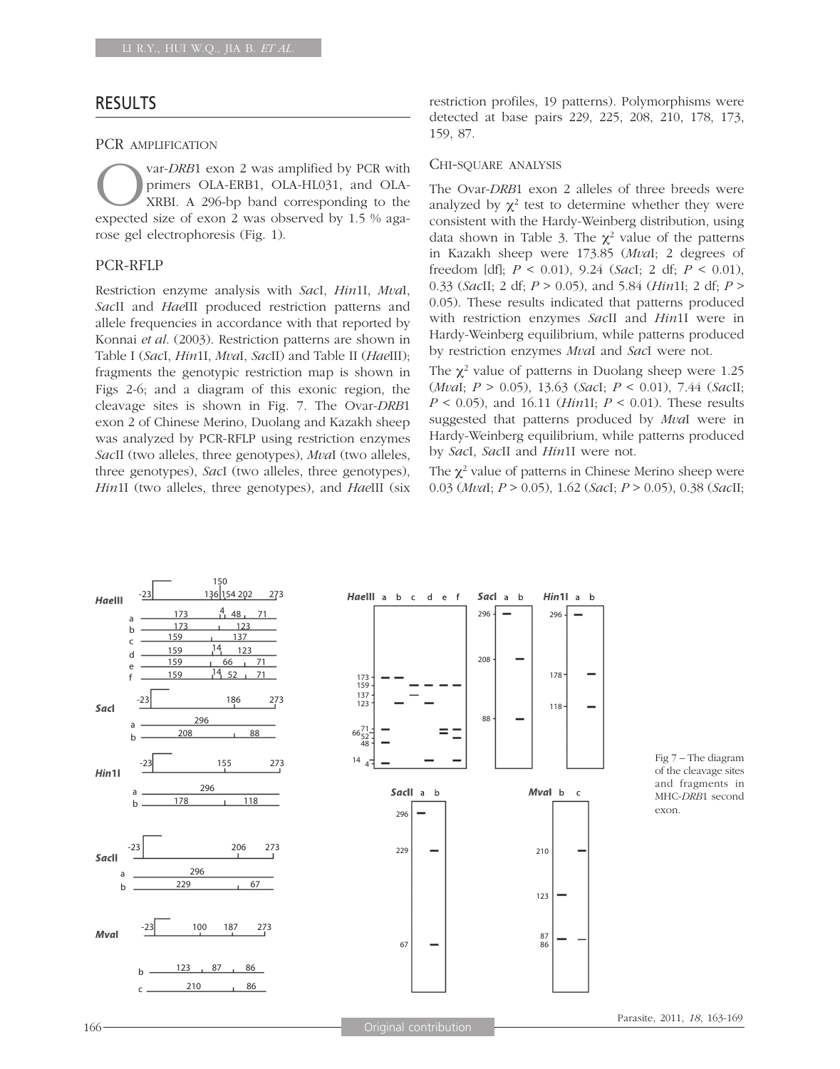### RESULTS

#### PCR AMPLIFICATION

Var-*DRB*1 exon 2 was amplified by PCR with<br>primers OLA-ERB1, OLA-HL031, and OLA-<br>XRBI. A 296-bp band corresponding to the<br>expected size of exon 2 was observed by 1.5 % agaprimers OLA-ERB1, OLA-HL031, and OLA-XRBI. A 296-bp band corresponding to the expected size of exon 2 was observed by 1.5 % agarose gel electrophoresis (Fig. 1).

### PCR-RFLP

Restriction enzyme analysis with *Sac*I, *Hin*1I, *Mva*I, *Sac*II and *Hae*III produced restriction patterns and allele frequencies in accordance with that reported by Konnai *et al*. (2003). Restriction patterns are shown in Table I (*Sac*I, *Hin*1I, *Mva*I, *Sac*II) and Table II (*Hae*III); fragments the genotypic restriction map is shown in Figs 2-6; and a diagram of this exonic region, the cleavage sites is shown in Fig. 7. The Ovar-*DRB*1 exon 2 of Chinese Merino, Duolang and Kazakh sheep was analyzed by PCR-RFLP using restriction enzymes *Sac*II (two alleles, three genotypes), *Mva*I (two alleles, three genotypes), *Sac*I (two alleles, three genotypes), *Hin*1I (two alleles, three genotypes), and *Hae*III (six

restriction profiles, 19 patterns). Polymorphisms were detected at base pairs 229, 225, 208, 210, 178, 173, 159, 87.

### CHI-SQUARE ANALYSIS

The Ovar-*DRB*1 exon 2 alleles of three breeds were analyzed by  $\chi^2$  test to determine whether they were consistent with the Hardy-Weinberg distribution, using data shown in Table 3. The  $\chi^2$  value of the patterns in Kazakh sheep were 173.85 (*Mva*I; 2 degrees of freedom [df]; *P* < 0.01), 9.24 (*Sac*I; 2 df; *P* < 0.01), 0.33 (*Sac*II; 2 df; *P* > 0.05), and 5.84 (*Hin*1I; 2 df; *P* > 0.05). These results indicated that patterns produced with restriction enzymes *Sac*II and *Hin*1I were in Hardy-Weinberg equilibrium, while patterns produced by restriction enzymes *Mva*I and *Sac*I were not.

The  $\chi^2$  value of patterns in Duolang sheep were 1.25 (*Mva*I; *P* > 0.05), 13.63 (*Sac*I; *P* < 0.01), 7.44 (*Sac*II; *P* < 0.05), and 16.11 (*Hin*1I; *P* < 0.01). These results suggested that patterns produced by *Mva*I were in Hardy-Weinberg equilibrium, while patterns produced by *Sac*I, *Sac*II and *Hin*1I were not.

The  $\chi^2$  value of patterns in Chinese Merino sheep were 0.03 (*Mva*I; *P* > 0.05), 1.62 (*Sac*I; *P* > 0.05), 0.38 (*Sac*II;



Fig 7 – The diagram of the cleavage sites and fragments in MHC-*DRB*1 second exon.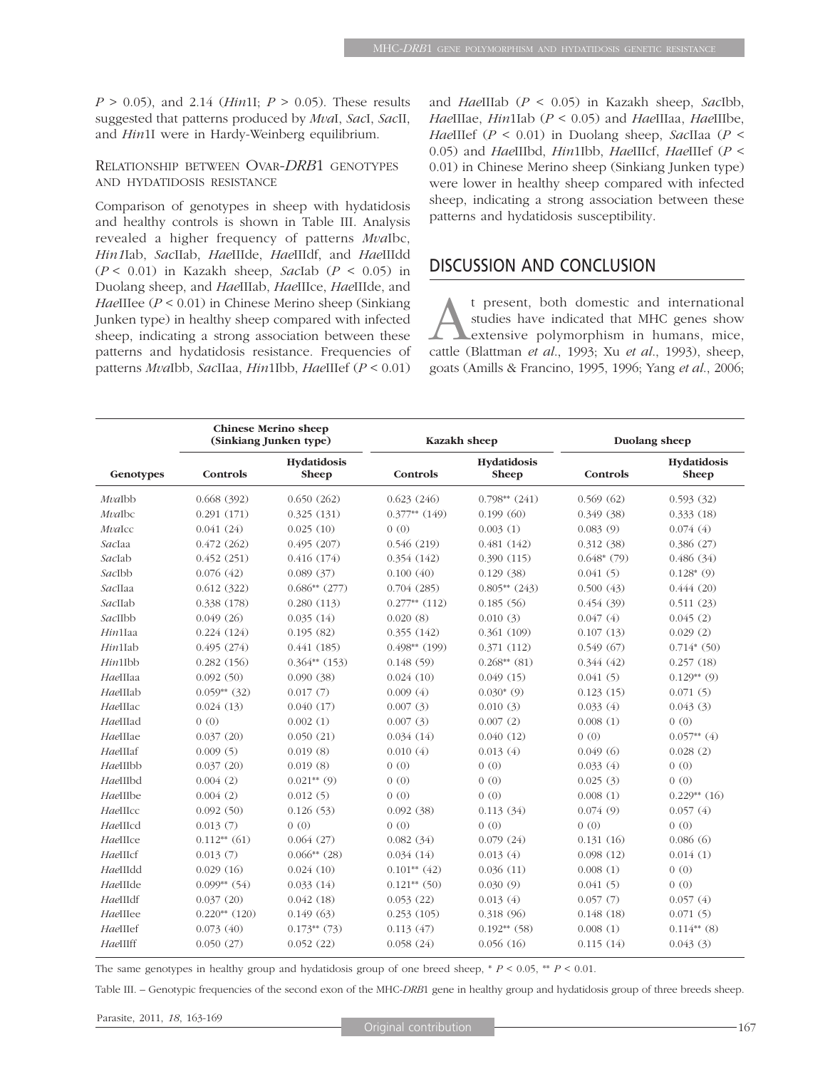*P* > 0.05), and 2.14 (*Hin*1I; *P* > 0.05). These results suggested that patterns produced by *Mva*I, *Sac*I, *Sac*II, and *Hin*1I were in Hardy-Weinberg equilibrium.

### RELATIONSHIP BETWEEN OVAR-*DRB*1 GENOTYPES AND HYDATIDOSIS RESISTANCE

Comparison of genotypes in sheep with hydatidosis and healthy controls is shown in Table III. Analysis revealed a higher frequency of patterns *Mva*Ibc, *Hin1*Iab, *Sac*IIab, *Hae*IIIde, *Hae*IIIdf, and *Hae*IIIdd (*P* < 0.01) in Kazakh sheep, *Sac*Iab (*P* < 0.05) in Duolang sheep, and *Hae*IIIab, *Hae*IIIce, *Hae*IIIde, and *Hae*IIIee (*P* < 0.01) in Chinese Merino sheep (Sinkiang Junken type) in healthy sheep compared with infected sheep, indicating a strong association between these patterns and hydatidosis resistance. Frequencies of patterns *Mva*Ibb, *Sac*IIaa, *Hin*1Ibb, *Hae*IIIef (*P* < 0.01) and *Hae*IIIab (*P* < 0.05) in Kazakh sheep, *Sac*Ibb, *Hae*IIIae, *Hin*1Iab (*P* < 0.05) and *Hae*IIIaa, *Hae*IIIbe, *Hae*IIIef (*P* < 0.01) in Duolang sheep, *Sac*IIaa (*P* < 0.05) and *Hae*IIIbd, *Hin*1Ibb, *Hae*IIIcf, *Hae*IIIef (*P* < 0.01) in Chinese Merino sheep (Sinkiang Junken type) were lower in healthy sheep compared with infected sheep, indicating a strong association between these patterns and hydatidosis susceptibility.

## DISCUSSION AND CONCLUSION

t present, both domestic and international<br>studies have indicated that MHC genes show<br>extensive polymorphism in humans, mice,<br>cattle (Blattman *et al.* 1993: Xu *et al.* 1993) sheep studies have indicated that MHC genes show extensive polymorphism in humans, mice, cattle (Blattman *et al*., 1993; Xu *et al*., 1993), sheep, goats (Amills & Francino, 1995, 1996; Yang *et al*., 2006;

|              | <b>Chinese Merino sheep</b><br>(Sinkiang Junken type) |                             | Kazakh sheep    |                      | Duolang sheep |                      |
|--------------|-------------------------------------------------------|-----------------------------|-----------------|----------------------|---------------|----------------------|
| Genotypes    | Controls                                              | Hydatidosis<br><b>Sheep</b> | Controls        | Hydatidosis<br>Sheep | Controls      | Hydatidosis<br>Sheep |
| MvaIbb       | 0.668(392)                                            | 0.650(262)                  | 0.623(246)      | $0.798**$ (241)      | 0.569(62)     | 0.593(32)            |
| MvaIbc       | 0.291(171)                                            | 0.325(131)                  | $0.377**$ (149) | 0.199(60)            | 0.349(38)     | 0.333(18)            |
| MvaIcc       | 0.041(24)                                             | 0.025(10)                   | 0(0)            | 0.003(1)             | 0.083(9)      | 0.074(4)             |
| SacIaa       | 0.472(262)                                            | 0.495(207)                  | 0.546(219)      | 0.481(142)           | 0.312(38)     | 0.386(27)            |
| SacIab       | 0.452(251)                                            | 0.416(174)                  | 0.354(142)      | 0.390(115)           | $0.648*(79)$  | 0.486(34)            |
| SacIbb       | 0.076(42)                                             | 0.089(37)                   | 0.100(40)       | 0.129(38)            | 0.041(5)      | $0.128*(9)$          |
| SacIIaa      | 0.612(322)                                            | $0.686**$ (277)             | 0.704(285)      | $0.805**$ (243)      | 0.500(43)     | 0.444(20)            |
| SacIIab      | 0.338(178)                                            | 0.280(113)                  | $0.277**$ (112) | 0.185(56)            | 0.454(39)     | 0.511(23)            |
| SacIIbb      | 0.049(26)                                             | 0.035(14)                   | 0.020(8)        | 0.010(3)             | 0.047(4)      | 0.045(2)             |
| Hin1Iaa      | 0.224(124)                                            | 0.195(82)                   | 0.355(142)      | 0.361(109)           | 0.107(13)     | 0.029(2)             |
| $H\!in$ 1Iab | 0.495(274)                                            | 0.441(185)                  | $0.498**$ (199) | 0.371(112)           | 0.549(67)     | $0.714*(50)$         |
| $Hin1I$ bb   | 0.282(156)                                            | $0.364**$ (153)             | 0.148(59)       | $0.268**$ (81)       | 0.344(42)     | 0.257(18)            |
| HaeIIIaa     | 0.092(50)                                             | 0.090(38)                   | 0.024(10)       | 0.049(15)            | 0.041(5)      | $0.129**$ (9)        |
| HaeIIIab     | $0.059**$ (32)                                        | 0.017(7)                    | 0.009(4)        | $0.030*(9)$          | 0.123(15)     | 0.071(5)             |
| HaeIIIac     | 0.024(13)                                             | 0.040(17)                   | 0.007(3)        | 0.010(3)             | 0.033(4)      | 0.043(3)             |
| HaeIIIad     | 0(0)                                                  | 0.002(1)                    | 0.007(3)        | 0.007(2)             | 0.008(1)      | 0(0)                 |
| HaeIIIae     | 0.037(20)                                             | 0.050(21)                   | 0.034(14)       | 0.040(12)            | 0(0)          | $0.057**$ (4)        |
| HaeIIIaf     | 0.009(5)                                              | 0.019(8)                    | 0.010(4)        | 0.013(4)             | 0.049(6)      | 0.028(2)             |
| HaeIIIbb     | 0.037(20)                                             | 0.019(8)                    | 0(0)            | 0(0)                 | 0.033(4)      | 0(0)                 |
| HaeIIIbd     | 0.004(2)                                              | $0.021**$ (9)               | 0(0)            | 0(0)                 | 0.025(3)      | 0(0)                 |
| HaeIIIbe     | 0.004(2)                                              | 0.012(5)                    | 0(0)            | (0)                  | 0.008(1)      | $0.229**$ (16)       |
| HaeHIcc      | 0.092(50)                                             | 0.126(53)                   | 0.092(38)       | 0.113(34)            | 0.074(9)      | 0.057(4)             |
| HaeIIIcd     | 0.013(7)                                              | 0(0)                        | 0(0)            | 0(0)                 | 0(0)          | 0(0)                 |
| HaeIIIce     | $0.112**$ (61)                                        | 0.064(27)                   | 0.082(34)       | 0.079(24)            | 0.131(16)     | 0.086(6)             |
| HaeIIIcf     | 0.013(7)                                              | $0.066**$ (28)              | 0.034(14)       | 0.013(4)             | 0.098(12)     | 0.014(1)             |
| HaeIIIdd     | 0.029(16)                                             | 0.024(10)                   | $0.101**$ (42)  | 0.036(11)            | 0.008(1)      | 0(0)                 |
| HaeIIIde     | $0.099**$ (54)                                        | 0.033(14)                   | $0.121**$ (50)  | 0.030(9)             | 0.041(5)      | 0(0)                 |
| HaeIIIdf     | 0.037(20)                                             | 0.042(18)                   | 0.053(22)       | 0.013(4)             | 0.057(7)      | 0.057(4)             |
| HaeIIIee     | $0.220**$ (120)                                       | 0.149(63)                   | 0.253(105)      | 0.318(96)            | 0.148(18)     | 0.071(5)             |
| HaeIIIef     | 0.073(40)                                             | $0.173**$ (73)              | 0.113(47)       | $0.192**$ (58)       | 0.008(1)      | $0.114**$ (8)        |
| HaeIIIff     | 0.050(27)                                             | 0.052(22)                   | 0.058(24)       | 0.056(16)            | 0.115(14)     | 0.043(3)             |

The same genotypes in healthy group and hydatidosis group of one breed sheep,  $* P < 0.05$ ,  $* P < 0.01$ .

Table III. – Genotypic frequencies of the second exon of the MHC-*DRB*1 gene in healthy group and hydatidosis group of three breeds sheep.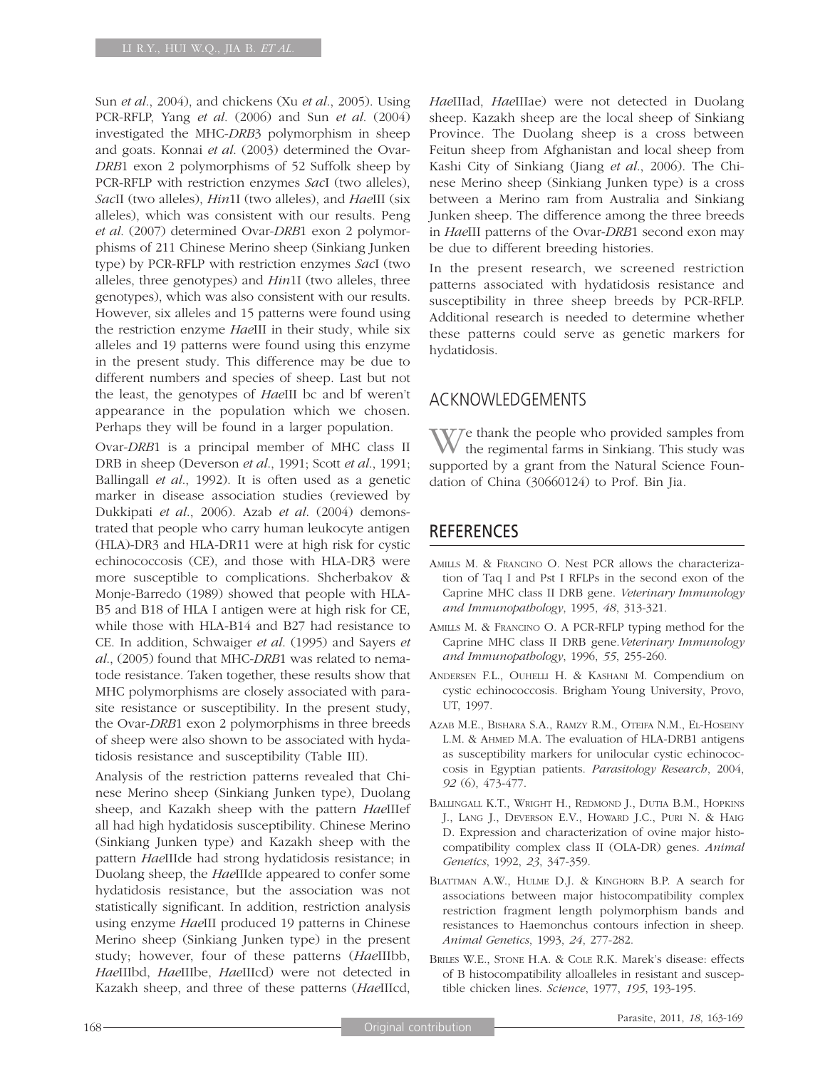Sun *et al*., 2004), and chickens (Xu *et al*., 2005). Using PCR-RFLP, Yang *et al*. (2006) and Sun *et al*. (2004) investigated the MHC-*DRB*3 polymorphism in sheep and goats. Konnai *et al*. (2003) determined the Ovar-*DRB*1 exon 2 polymorphisms of 52 Suffolk sheep by PCR-RFLP with restriction enzymes *Sac*I (two alleles), *Sac*II (two alleles), *Hin*1I (two alleles), and *Hae*III (six alleles), which was consistent with our results. Peng *et al*. (2007) determined Ovar-*DRB*1 exon 2 polymorphisms of 211 Chinese Merino sheep (Sinkiang Junken type) by PCR-RFLP with restriction enzymes *Sac*I (two alleles, three genotypes) and *Hin*1I (two alleles, three genotypes), which was also consistent with our results. However, six alleles and 15 patterns were found using the restriction enzyme *Hae*III in their study, while six alleles and 19 patterns were found using this enzyme in the present study. This difference may be due to different numbers and species of sheep. Last but not the least, the genotypes of *Hae*III bc and bf weren't appearance in the population which we chosen. Perhaps they will be found in a larger population.

Ovar-*DRB*1 is a principal member of MHC class II DRB in sheep (Deverson *et al*., 1991; Scott *et al*., 1991; Ballingall *et al*., 1992). It is often used as a genetic marker in disease association studies (reviewed by Dukkipati *et al*., 2006). Azab *et al*. (2004) demonstrated that people who carry human leukocyte antigen (HLA)-DR3 and HLA-DR11 were at high risk for cystic echinococcosis (CE), and those with HLA-DR3 were more susceptible to complications. Shcherbakov & Monje-Barredo (1989) showed that people with HLA-B5 and B18 of HLA I antigen were at high risk for CE, while those with HLA-B14 and B27 had resistance to CE. In addition, Schwaiger *et al*. (1995) and Sayers *et al*., (2005) found that MHC-*DRB*1 was related to nematode resistance. Taken together, these results show that MHC polymorphisms are closely associated with parasite resistance or susceptibility. In the present study, the Ovar-*DRB*1 exon 2 polymorphisms in three breeds of sheep were also shown to be associated with hydatidosis resistance and susceptibility (Table III).

Analysis of the restriction patterns revealed that Chinese Merino sheep (Sinkiang Junken type), Duolang sheep, and Kazakh sheep with the pattern *Hae*IIIef all had high hydatidosis susceptibility. Chinese Merino (Sinkiang Junken type) and Kazakh sheep with the pattern *Hae*IIIde had strong hydatidosis resistance; in Duolang sheep, the *Hae*IIIde appeared to confer some hydatidosis resistance, but the association was not statistically significant. In addition, restriction analysis using enzyme *Hae*III produced 19 patterns in Chinese Merino sheep (Sinkiang Junken type) in the present study; however, four of these patterns (*Hae*IIIbb, *Hae*IIIbd, *Hae*IIIbe, *Hae*IIIcd) were not detected in Kazakh sheep, and three of these patterns (*Hae*IIIcd, *Hae*IIIad, *Hae*IIIae) were not detected in Duolang sheep. Kazakh sheep are the local sheep of Sinkiang Province. The Duolang sheep is a cross between Feitun sheep from Afghanistan and local sheep from Kashi City of Sinkiang (Jiang *et al*., 2006). The Chinese Merino sheep (Sinkiang Junken type) is a cross between a Merino ram from Australia and Sinkiang Junken sheep. The difference among the three breeds in *Hae*III patterns of the Ovar-*DRB*1 second exon may be due to different breeding histories.

In the present research, we screened restriction patterns associated with hydatidosis resistance and susceptibility in three sheep breeds by PCR-RFLP. Additional research is needed to determine whether these patterns could serve as genetic markers for hydatidosis.

# ACKNOWLEDGEMENTS

V/Te thank the people who provided samples from the regimental farms in Sinkiang. This study was supported by a grant from the Natural Science Foundation of China (30660124) to Prof. Bin Jia.

## **REFERENCES**

- AMILLS M. & FRANCINO O. Nest PCR allows the characterization of Taq I and Pst I RFLPs in the second exon of the Caprine MHC class II DRB gene. *Veterinary Immunology and Immunopathology*, 1995, *48*, 313-321.
- AMILLS M. & FRANCINO O. A PCR-RFLP typing method for the Caprine MHC class II DRB gene.*Veterinary Immunology and Immunopathology*, 1996, *55*, 255-260.
- ANDERSEN F.L., OUHELLI H. & KASHANI M. Compendium on cystic echinococcosis. Brigham Young University, Provo, UT, 1997.
- AZAB M.E., BISHARA S.A., RAMZY R.M., OTEIFA N.M., EL-HOSEINY L.M. & AHMED M.A. The evaluation of HLA-DRB1 antigens as susceptibility markers for unilocular cystic echinococcosis in Egyptian patients. *Parasitology Research*, 2004, *92* (6), 473-477.
- BALLINGALL K.T., WRIGHT H., REDMOND J., DUTIA B.M., HOPKINS J., LANG J., DEVERSON E.V., HOWARD J.C., PURI N. & HAIG D. Expression and characterization of ovine major histocompatibility complex class II (OLA-DR) genes. *Animal Genetics*, 1992, *23*, 347-359.
- BLATTMAN A.W., HULME D.J. & KINGHORN B.P. A search for associations between major histocompatibility complex restriction fragment length polymorphism bands and resistances to Haemonchus contours infection in sheep. *Animal Genetics*, 1993, *24*, 277-282.
- BRILES W.E., STONE H.A. & COLE R.K. Marek's disease: effects of B histocompatibility alloalleles in resistant and susceptible chicken lines. *Science*, 1977, *195*, 193-195.